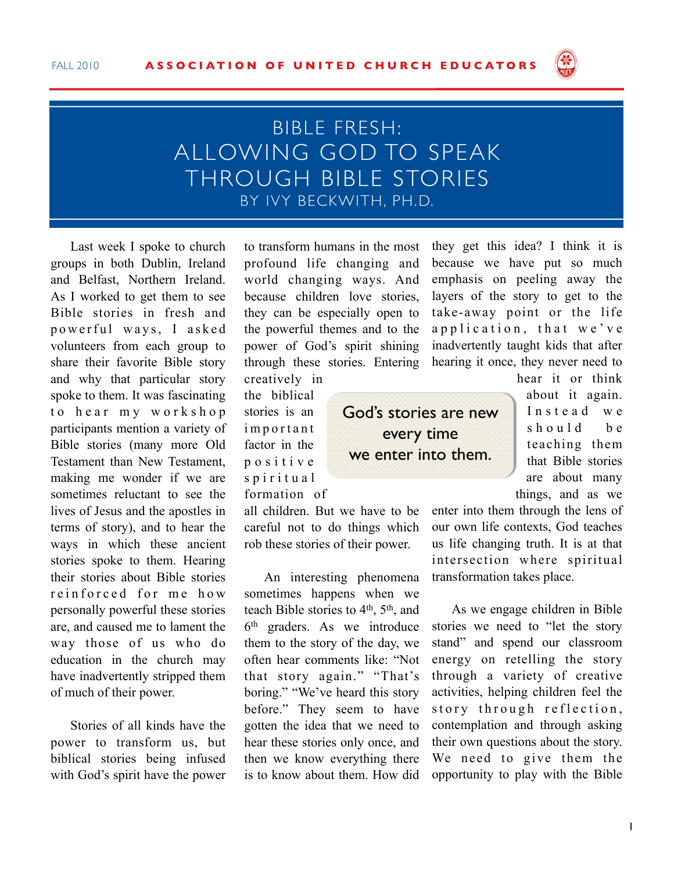

## BIBLE FRESH: ALLOWING GOD TO SPEAK THROUGH BIBLE STORIES BY IVY BECKWITH, PH.D.

Last week I spoke to church groups in both Dublin, Ireland and Belfast, Northern Ireland. As I worked to get them to see Bible stories in fresh and powerful ways, I asked volunteers from each group to share their favorite Bible story and why that particular story spoke to them. It was fascinating to hear my workshop participants mention a variety of Bible stories (many more Old Testament than New Testament, making me wonder if we are sometimes reluctant to see the lives of Jesus and the apostles in terms of story), and to hear the ways in which these ancient stories spoke to them. Hearing their stories about Bible stories reinforced for me how personally powerful these stories are, and caused me to lament the way those of us who do education in the church may have inadvertently stripped them of much of their power.

Stories of all kinds have the power to transform us, but biblical stories being infused with God's spirit have the power to transform humans in the most profound life changing and world changing ways. And because children love stories, they can be especially open to the powerful themes and to the power of God's spirit shining through these stories. Entering creatively in

> God's stories are new every time we enter into them.

the biblical stories is an *i* m p o r t a n t factor in the p o s i t i v e s p i r i t u a l formation of

all children. But we have to be careful not to do things which rob these stories of their power.

An interesting phenomena sometimes happens when we teach Bible stories to  $4<sup>th</sup>$ ,  $5<sup>th</sup>$ , and  $6<sup>th</sup>$  graders. As we introduce them to the story of the day, we often hear comments like: "Not that story again." "That's boring." "We've heard this story before." They seem to have gotten the idea that we need to hear these stories only once, and then we know everything there is to know about them. How did

they get this idea? I think it is because we have put so much emphasis on peeling away the layers of the story to get to the take-away point or the life a p p l i c a t i o n, that we've inadvertently taught kids that after hearing it once, they never need to

hear it or think about it again. Instead we  $sh$  ould be teaching them that Bible stories are about many things, and as we

enter into them through the lens of our own life contexts, God teaches us life changing truth. It is at that intersection where spiritual transformation takes place.

As we engage children in Bible stories we need to "let the story stand" and spend our classroom energy on retelling the story through a variety of creative activities, helping children feel the story through reflection, contemplation and through asking their own questions about the story. We need to give them the opportunity to play with the Bible